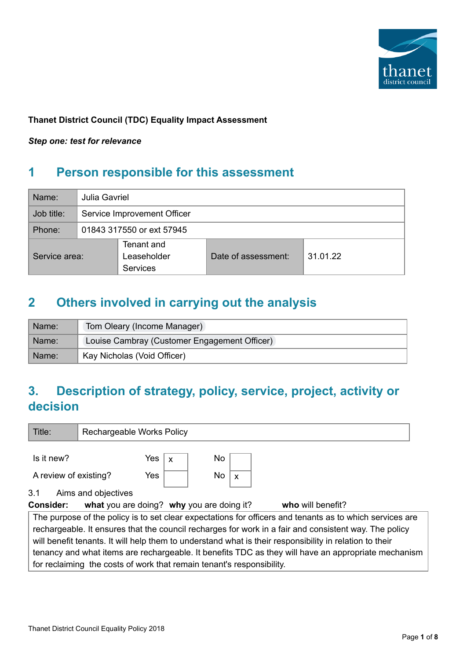

### **Thanet District Council (TDC) Equality Impact Assessment**

*Step one: test for relevance*

## **1 Person responsible for this assessment**

| Name:         |  | Julia Gavriel                         |                     |          |  |  |  |
|---------------|--|---------------------------------------|---------------------|----------|--|--|--|
| Job title:    |  | Service Improvement Officer           |                     |          |  |  |  |
| Phone:        |  | 01843 317550 or ext 57945             |                     |          |  |  |  |
| Service area: |  | Tenant and<br>Leaseholder<br>Services | Date of assessment: | 31.01.22 |  |  |  |

## **2 Others involved in carrying out the analysis**

| Name: | Tom Oleary (Income Manager)                  |
|-------|----------------------------------------------|
| Name: | Louise Cambray (Customer Engagement Officer) |
| Name: | Kay Nicholas (Void Officer)                  |

# **3. Description of strategy, policy, service, project, activity or decision**

| Title:                                                                                                  | Rechargeable Works Policy                                                                                |             |     |                           |  |                   |  |
|---------------------------------------------------------------------------------------------------------|----------------------------------------------------------------------------------------------------------|-------------|-----|---------------------------|--|-------------------|--|
| Is it new?                                                                                              | Yes $ $                                                                                                  | $\mathbf x$ | No  |                           |  |                   |  |
| A review of existing?                                                                                   | Yes                                                                                                      |             | No. | $\boldsymbol{\mathsf{x}}$ |  |                   |  |
| 3.1                                                                                                     | Aims and objectives                                                                                      |             |     |                           |  |                   |  |
| <b>Consider:</b>                                                                                        | what you are doing? why you are doing it?                                                                |             |     |                           |  | who will benefit? |  |
|                                                                                                         | The purpose of the policy is to set clear expectations for officers and tenants as to which services are |             |     |                           |  |                   |  |
|                                                                                                         | rechargeable. It ensures that the council recharges for work in a fair and consistent way. The policy    |             |     |                           |  |                   |  |
| will benefit tenants. It will help them to understand what is their responsibility in relation to their |                                                                                                          |             |     |                           |  |                   |  |
| tenancy and what items are rechargeable. It benefits TDC as they will have an appropriate mechanism     |                                                                                                          |             |     |                           |  |                   |  |
|                                                                                                         | for reclaiming the costs of work that remain tenant's responsibility.                                    |             |     |                           |  |                   |  |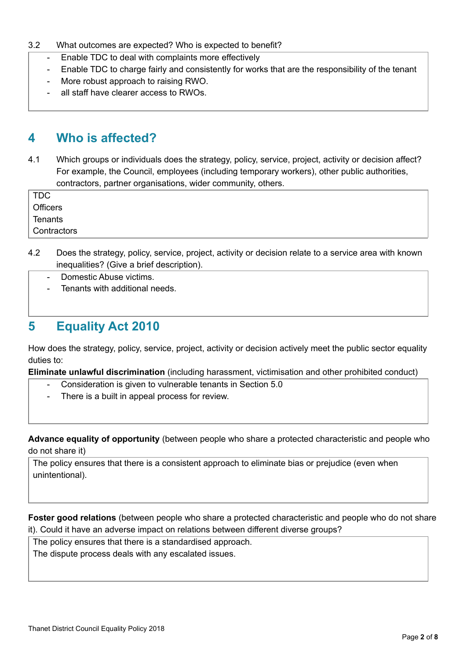#### 3.2 What outcomes are expected? Who is expected to benefit?

- Enable TDC to deal with complaints more effectively
- Enable TDC to charge fairly and consistently for works that are the responsibility of the tenant
- More robust approach to raising RWO.
- all staff have clearer access to RWOs.

### **4 Who is affected?**

4.1 Which groups or individuals does the strategy, policy, service, project, activity or decision affect? For example, the Council, employees (including temporary workers), other public authorities, contractors, partner organisations, wider community, others.

TDC **Officers Tenants Contractors** 

- 4.2 Does the strategy, policy, service, project, activity or decision relate to a service area with known inequalities? (Give a brief description).
	- Domestic Abuse victims.
	- Tenants with additional needs.

## **5 Equality Act 2010**

How does the strategy, policy, service, project, activity or decision actively meet the public sector equality duties to:

**Eliminate unlawful discrimination** (including harassment, victimisation and other prohibited conduct)

- Consideration is given to vulnerable tenants in Section 5.0
- There is a built in appeal process for review.

**Advance equality of opportunity** (between people who share a protected characteristic and people who do not share it)

The policy ensures that there is a consistent approach to eliminate bias or prejudice (even when unintentional).

**Foster good relations** (between people who share a protected characteristic and people who do not share it). Could it have an adverse impact on relations between different diverse groups?

The policy ensures that there is a standardised approach.

The dispute process deals with any escalated issues.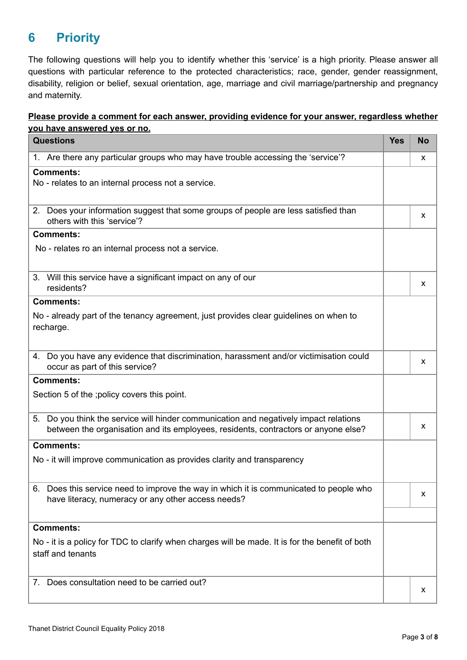# **6 Priority**

The following questions will help you to identify whether this 'service' is a high priority. Please answer all questions with particular reference to the protected characteristics; race, gender, gender reassignment, disability, religion or belief, sexual orientation, age, marriage and civil marriage/partnership and pregnancy and maternity.

#### **Please provide a comment for each answer, providing evidence for your answer, regardless whether you have answered yes or no.**

| <b>Questions</b>                                                                                                                                                               | <b>Yes</b> | <b>No</b> |
|--------------------------------------------------------------------------------------------------------------------------------------------------------------------------------|------------|-----------|
| 1. Are there any particular groups who may have trouble accessing the 'service'?                                                                                               |            | X         |
| <b>Comments:</b><br>No - relates to an internal process not a service.                                                                                                         |            |           |
| 2. Does your information suggest that some groups of people are less satisfied than<br>others with this 'service'?                                                             |            | X         |
| <b>Comments:</b>                                                                                                                                                               |            |           |
| No - relates ro an internal process not a service.                                                                                                                             |            |           |
| 3. Will this service have a significant impact on any of our<br>residents?                                                                                                     |            | X         |
| <b>Comments:</b>                                                                                                                                                               |            |           |
| No - already part of the tenancy agreement, just provides clear guidelines on when to<br>recharge.                                                                             |            |           |
| 4. Do you have any evidence that discrimination, harassment and/or victimisation could<br>occur as part of this service?                                                       |            | X         |
| <b>Comments:</b>                                                                                                                                                               |            |           |
| Section 5 of the ; policy covers this point.                                                                                                                                   |            |           |
| Do you think the service will hinder communication and negatively impact relations<br>5.<br>between the organisation and its employees, residents, contractors or anyone else? |            | X         |
| <b>Comments:</b>                                                                                                                                                               |            |           |
| No - it will improve communication as provides clarity and transparency                                                                                                        |            |           |
| 6. Does this service need to improve the way in which it is communicated to people who<br>have literacy, numeracy or any other access needs?                                   |            | X         |
| <b>Comments:</b>                                                                                                                                                               |            |           |
| No - it is a policy for TDC to clarify when charges will be made. It is for the benefit of both<br>staff and tenants                                                           |            |           |
| Does consultation need to be carried out?<br>7.                                                                                                                                |            | X         |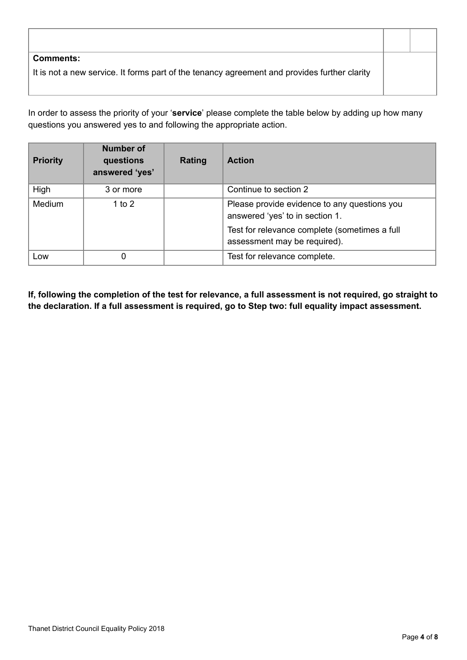| <b>Comments:</b>                                                                             |  |
|----------------------------------------------------------------------------------------------|--|
| It is not a new service. It forms part of the tenancy agreement and provides further clarity |  |
|                                                                                              |  |

In order to assess the priority of your '**service**' please complete the table below by adding up how many questions you answered yes to and following the appropriate action.

| <b>Priority</b> | <b>Number of</b><br>questions<br>answered 'yes' | Rating | <b>Action</b>                                                                   |
|-----------------|-------------------------------------------------|--------|---------------------------------------------------------------------------------|
| High            | 3 or more                                       |        | Continue to section 2                                                           |
| <b>Medium</b>   | 1 to 2                                          |        | Please provide evidence to any questions you<br>answered 'yes' to in section 1. |
|                 |                                                 |        | Test for relevance complete (sometimes a full<br>assessment may be required).   |
| Low             | 0                                               |        | Test for relevance complete.                                                    |

If, following the completion of the test for relevance, a full assessment is not required, go straight to **the declaration. If a full assessment is required, go to Step two: full equality impact assessment.**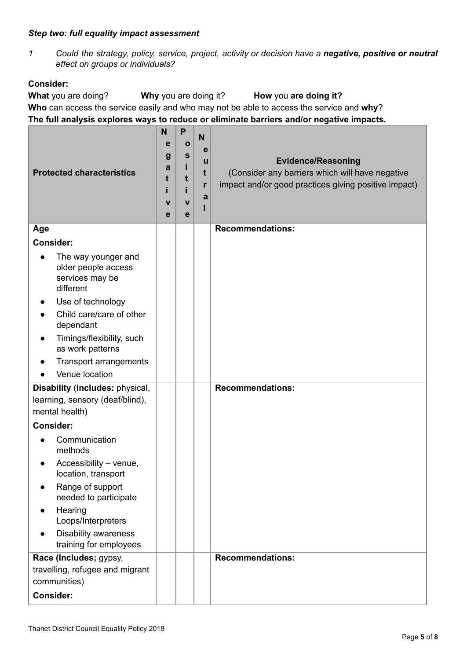#### *Step two: full equality impact assessment*

*1 Could the strategy, policy, service, project, activity or decision have a negative, positive or neutral effect on groups or individuals?*

### **Consider:**

**What** you are doing? **Why** you are doing it? **How** you **are doing it? Who** can access the service easily and who may not be able to access the service and **why**? **The full analysis explores ways to reduce or eliminate barriers and/or negative impacts.**

| <b>Protected characteristics</b>                                                                                                                                                                                           | N<br>е<br>g<br>a<br>t<br>V<br>e | P<br>Ο<br>S<br>t<br>$\mathbf v$<br>e | N<br>е<br>u<br>t<br>r<br>a | <b>Evidence/Reasoning</b><br>(Consider any barriers which will have negative<br>impact and/or good practices giving positive impact) |
|----------------------------------------------------------------------------------------------------------------------------------------------------------------------------------------------------------------------------|---------------------------------|--------------------------------------|----------------------------|--------------------------------------------------------------------------------------------------------------------------------------|
| Age                                                                                                                                                                                                                        |                                 |                                      |                            | <b>Recommendations:</b>                                                                                                              |
| <b>Consider:</b>                                                                                                                                                                                                           |                                 |                                      |                            |                                                                                                                                      |
| The way younger and<br>older people access<br>services may be<br>different<br>Use of technology<br>Child care/care of other<br>dependant<br>Timings/flexibility, such<br>as work patterns<br><b>Transport arrangements</b> |                                 |                                      |                            |                                                                                                                                      |
| Venue location                                                                                                                                                                                                             |                                 |                                      |                            |                                                                                                                                      |
| Disability (Includes: physical,<br>learning, sensory (deaf/blind),<br>mental health)                                                                                                                                       |                                 |                                      |                            | <b>Recommendations:</b>                                                                                                              |
| <b>Consider:</b>                                                                                                                                                                                                           |                                 |                                      |                            |                                                                                                                                      |
| Communication<br>methods<br>Accessibility - venue,<br>location, transport<br>Range of support<br>needed to participate<br>Hearing<br>Loops/Interpreters<br><b>Disability awareness</b><br>training for employees           |                                 |                                      |                            |                                                                                                                                      |
| Race (Includes; gypsy,                                                                                                                                                                                                     |                                 |                                      |                            | <b>Recommendations:</b>                                                                                                              |
| travelling, refugee and migrant<br>communities)                                                                                                                                                                            |                                 |                                      |                            |                                                                                                                                      |
| <b>Consider:</b>                                                                                                                                                                                                           |                                 |                                      |                            |                                                                                                                                      |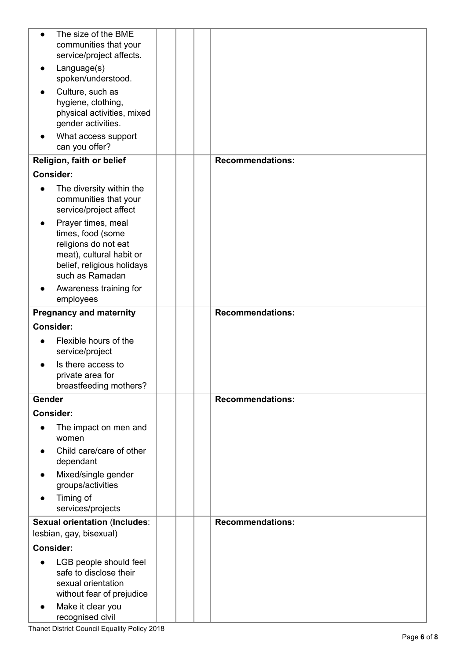| $\bullet$        | The size of the BME<br>communities that your                                                                                                                                        |  |                         |
|------------------|-------------------------------------------------------------------------------------------------------------------------------------------------------------------------------------|--|-------------------------|
|                  | service/project affects.<br>Language(s)                                                                                                                                             |  |                         |
|                  | spoken/understood.                                                                                                                                                                  |  |                         |
|                  | Culture, such as<br>hygiene, clothing,<br>physical activities, mixed<br>gender activities.                                                                                          |  |                         |
|                  | What access support<br>can you offer?                                                                                                                                               |  |                         |
|                  | Religion, faith or belief                                                                                                                                                           |  | <b>Recommendations:</b> |
| <b>Consider:</b> |                                                                                                                                                                                     |  |                         |
| $\bullet$        | The diversity within the<br>communities that your<br>service/project affect                                                                                                         |  |                         |
| $\bullet$        | Prayer times, meal<br>times, food (some<br>religions do not eat<br>meat), cultural habit or<br>belief, religious holidays<br>such as Ramadan<br>Awareness training for<br>employees |  |                         |
|                  | <b>Pregnancy and maternity</b>                                                                                                                                                      |  | <b>Recommendations:</b> |
| <b>Consider:</b> |                                                                                                                                                                                     |  |                         |
|                  | Flexible hours of the<br>service/project                                                                                                                                            |  |                         |
|                  | Is there access to<br>private area for<br>breastfeeding mothers?                                                                                                                    |  |                         |
| Gender           |                                                                                                                                                                                     |  | <b>Recommendations:</b> |
| <b>Consider:</b> |                                                                                                                                                                                     |  |                         |
| $\bullet$        | The impact on men and<br>women                                                                                                                                                      |  |                         |
|                  | Child care/care of other<br>dependant                                                                                                                                               |  |                         |
| $\bullet$        | Mixed/single gender<br>groups/activities                                                                                                                                            |  |                         |
| $\bullet$        | Timing of<br>services/projects                                                                                                                                                      |  |                         |
|                  | <b>Sexual orientation (Includes:</b><br>lesbian, gay, bisexual)                                                                                                                     |  | <b>Recommendations:</b> |
| <b>Consider:</b> |                                                                                                                                                                                     |  |                         |
| $\bullet$        | LGB people should feel<br>safe to disclose their<br>sexual orientation<br>without fear of prejudice<br>Make it clear you                                                            |  |                         |
|                  | recognised civil                                                                                                                                                                    |  |                         |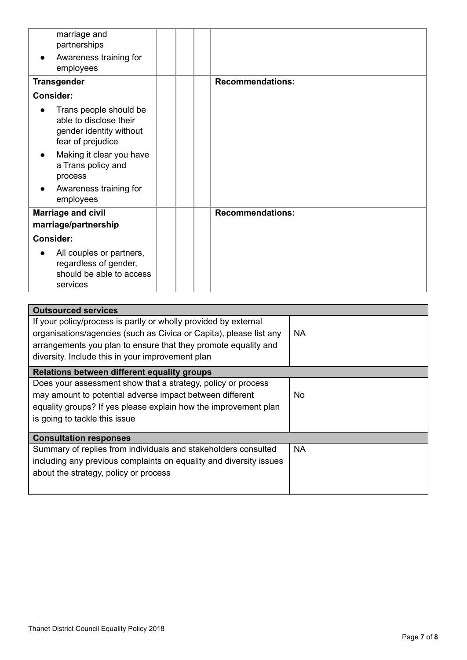| marriage and<br>partnerships<br>Awareness training for<br>$\bullet$<br>employees                                                                                           |                         |
|----------------------------------------------------------------------------------------------------------------------------------------------------------------------------|-------------------------|
| <b>Transgender</b>                                                                                                                                                         | <b>Recommendations:</b> |
| <b>Consider:</b>                                                                                                                                                           |                         |
| Trans people should be<br>able to disclose their<br>gender identity without<br>fear of prejudice<br>Making it clear you have<br>$\bullet$<br>a Trans policy and<br>process |                         |
| Awareness training for<br>employees                                                                                                                                        |                         |
| <b>Marriage and civil</b><br>marriage/partnership                                                                                                                          | <b>Recommendations:</b> |
| <b>Consider:</b>                                                                                                                                                           |                         |
| All couples or partners,<br>regardless of gender,<br>should be able to access<br>services                                                                                  |                         |

| <b>Outsourced services</b>                                         |           |
|--------------------------------------------------------------------|-----------|
| If your policy/process is partly or wholly provided by external    |           |
| organisations/agencies (such as Civica or Capita), please list any | <b>NA</b> |
| arrangements you plan to ensure that they promote equality and     |           |
|                                                                    |           |
| diversity. Include this in your improvement plan                   |           |
| Relations between different equality groups                        |           |
| Does your assessment show that a strategy, policy or process       |           |
| may amount to potential adverse impact between different           | No.       |
| equality groups? If yes please explain how the improvement plan    |           |
| is going to tackle this issue                                      |           |
|                                                                    |           |
| <b>Consultation responses</b>                                      |           |
| Summary of replies from individuals and stakeholders consulted     | <b>NA</b> |
| including any previous complaints on equality and diversity issues |           |
| about the strategy, policy or process                              |           |
|                                                                    |           |
|                                                                    |           |